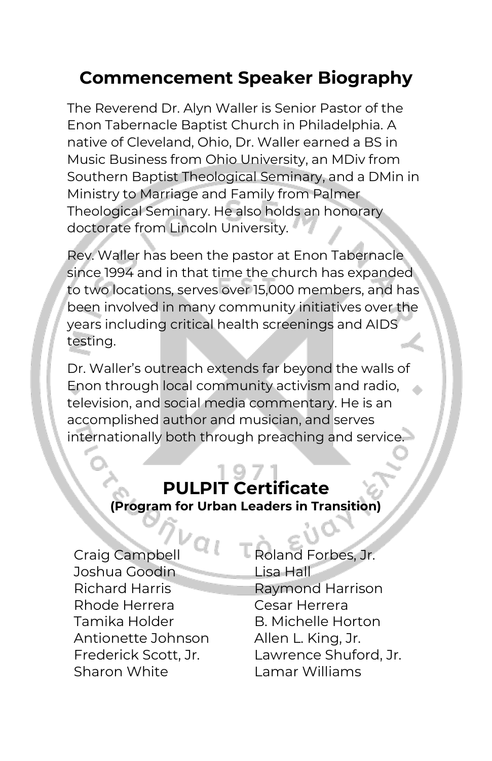# **Commencement Speaker Biography**

The Reverend Dr. Alyn Waller is Senior Pastor of the Enon Tabernacle Baptist Church in Philadelphia. A native of Cleveland, Ohio, Dr. Waller earned a BS in Music Business from Ohio University, an MDiv from Southern Baptist Theological Seminary, and a DMin in Ministry to Marriage and Family from Palmer Theological Seminary. He also holds an honorary doctorate from Lincoln University.

Rev. Waller has been the pastor at Enon Tabernacle since 1994 and in that time the church has expanded to two locations, serves over 15,000 members, and has been involved in many community initiatives over the years including critical health screenings and AIDS testing.

Dr. Waller's outreach extends far beyond the walls of Enon through local community activism and radio, television, and social media commentary. He is an accomplished author and musician, and serves internationally both through preaching and service.

# **PULPIT Certificate (Program for Urban Leaders in Transition)**

Joshua Goodin Lisa Hall Richard Harris Raymond Harrison Rhode Herrera Cesar Herrera Tamika Holder B. Michelle Horton Antionette Johnson Allen L. King, Jr. Sharon White Lamar Williams

Craig Campbell Roland Forbes, Jr. Frederick Scott, Jr. Lawrence Shuford, Jr.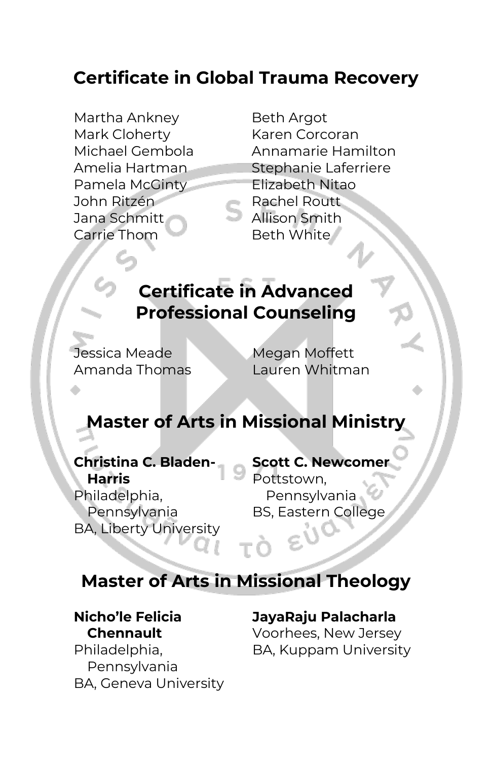# **Certificate in Global Trauma Recovery**

Martha Ankney Beth Argot Mark Cloherty Karen Corcoran Pamela McGinty Elizabeth Nitao John Ritzén Rachel Routt Jana Schmitt Allison Smith Carrie Thom Beth White

Michael Gembola Annamarie Hamilton Amelia Hartman Stephanie Laferriere

# **Certificate in Advanced Professional Counseling**

Jessica Meade Megan Moffett

Amanda Thomas Lauren Whitman

## **Master of Arts in Missional Ministry**

#### **Christina C. Bladen-Harris**

Philadelphia, Pennsylvania BA, Liberty University **Scott C. Newcomer** Pottstown, Pennsylvania BS, Eastern College

## **Master of Arts in Missional Theology**

#### **Nicho'le Felicia Chennault**

Philadelphia, Pennsylvania BA, Geneva University

#### **JayaRaju Palacharla**

Voorhees, New Jersey BA, Kuppam University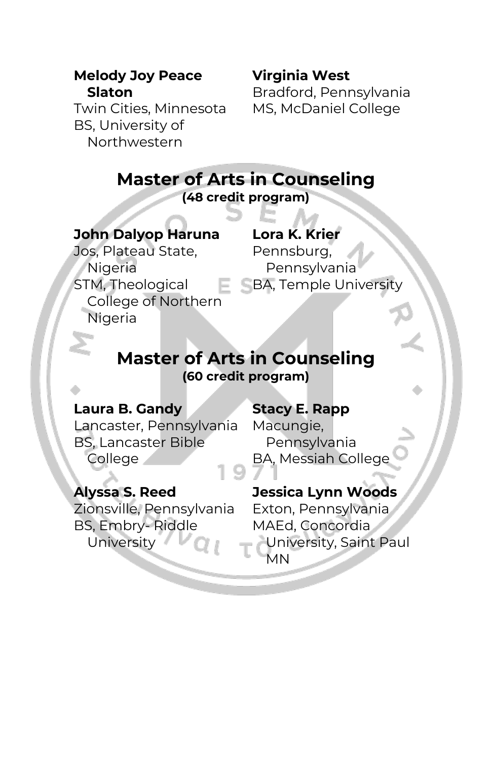#### **Melody Joy Peace Slaton**

Twin Cities, Minnesota BS, University of Northwestern

# **Virginia West**

Bradford, Pennsylvania MS, McDaniel College

| <b>Master of Arts in Counseling</b><br>(48 credit program)                                                        |                                                                             |
|-------------------------------------------------------------------------------------------------------------------|-----------------------------------------------------------------------------|
| <b>John Dalyop Haruna</b><br>Jos, Plateau State,<br>Nigeria<br>STM, Theological<br>College of Northern<br>Nigeria | Lora K. Krier<br>Pennsburg,<br>Pennsylvania<br><b>BA, Temple University</b> |
|                                                                                                                   | <b>Master of Arts in Counseling</b>                                         |

**(60 credit program)** 

## **Laura B. Gandy**

Lancaster, Pennsylvania BS, Lancaster Bible College

## **Stacy E. Rapp**

Macungie, Pennsylvania BA, Messiah College

## **Alyssa S. Reed**

Zionsville, Pennsylvania BS, Embry- Riddle University

## **Jessica Lynn Woods**

Exton, Pennsylvania MAEd, Concordia University, Saint Paul MN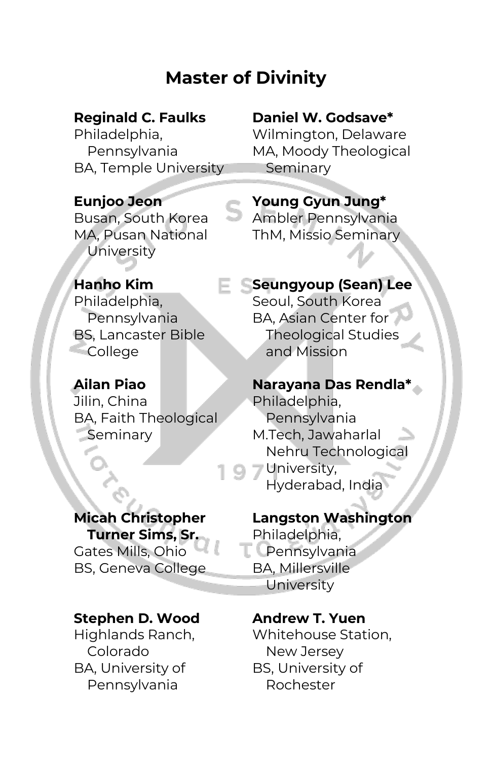# **Master of Divinity**

## **Reginald C. Faulks**

Philadelphia, Pennsylvania BA, Temple University

## **Daniel W. Godsave\***

Wilmington, Delaware MA, Moody Theological Seminary

## **Eunjoo Jeon**

Busan, South Korea MA, Pusan National **University** 

## **Hanho Kim**

Philadelphia, Pennsylvania BS, Lancaster Bible **College** 

## **Ailan Piao**

Jilin, China BA, Faith Theological **Seminary** 

# **Micah Christopher**

**Turner Sims, Sr.** Gates Mills, Ohio BS, Geneva College

#### **Stephen D. Wood**

Highlands Ranch, Colorado BA, University of Pennsylvania

## **Young Gyun Jung\*** Ambler Pennsylvania

ThM, Missio Seminary

## **Seungyoup (Sean) Lee**

Seoul, South Korea BA, Asian Center for Theological Studies and Mission

#### **Narayana Das Rendla\***

Philadelphia, Pennsylvania M.Tech, Jawaharlal Nehru Technological University, Hyderabad, India

#### **Langston Washington** Philadelphia, **L** Pennsylvania BA, Millersville University

#### **Andrew T. Yuen**  Whitehouse Station, New Jersey BS, University of Rochester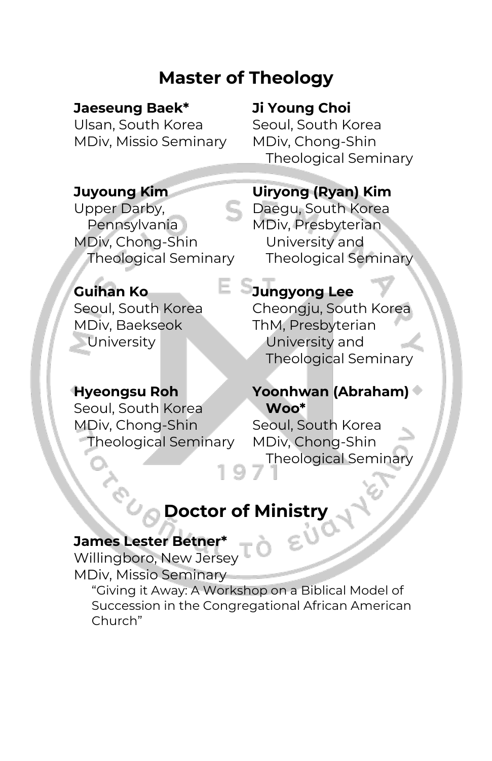# **Master of Theology**

## **Jaeseung Baek\***

Ulsan, South Korea MDiv, Missio Seminary

## **Ji Young Choi**

Seoul, South Korea MDiv, Chong-Shin Theological Seminary

## **Juyoung Kim**

Upper Darby, Pennsylvania MDiv, Chong-Shin Theological Seminary

## **Guihan Ko**

Seoul, South Korea MDiv, Baekseok **University** 

#### **Uiryong (Ryan) Kim** Daegu, South Korea

MDiv, Presbyterian University and Theological Seminary

## **Jungyong Lee**

Cheongju, South Korea ThM, Presbyterian University and Theological Seminary

## **Hyeongsu Roh**

Seoul, South Korea MDiv, Chong-Shin Theological Seminary

## **Yoonhwan (Abraham) Woo\***

Seoul, South Korea MDiv, Chong-Shin Theological Seminary

# **Doctor of Ministry**

## **James Lester Betner\***

Willingboro, New Jersey MDiv, Missio Seminary "Giving it Away: A Workshop on a Biblical Model of Succession in the Congregational African American Church"